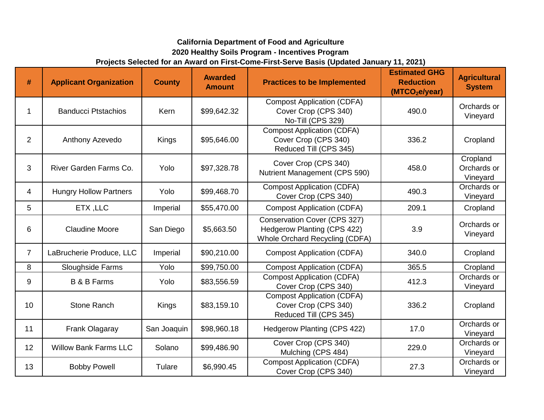## **2020 Healthy Soils Program - Incentives Program Projects Selected for an Award on First-Come-First-Serve Basis (Updated January 11, 2021) California Department of Food and Agriculture**

| #              | <b>Applicant Organization</b> | <b>County</b> | <b>Awarded</b><br><b>Amount</b> | <b>Practices to be Implemented</b>                                                            | <b>Estimated GHG</b><br><b>Reduction</b><br>(MTCO <sub>2</sub> e/year) | <b>Agricultural</b><br><b>System</b> |
|----------------|-------------------------------|---------------|---------------------------------|-----------------------------------------------------------------------------------------------|------------------------------------------------------------------------|--------------------------------------|
| 1              | <b>Banducci Ptstachios</b>    | Kern          | \$99,642.32                     | <b>Compost Application (CDFA)</b><br>Cover Crop (CPS 340)<br>No-Till (CPS 329)                | 490.0                                                                  | Orchards or<br>Vineyard              |
| $\overline{2}$ | Anthony Azevedo               | Kings         | \$95,646.00                     | <b>Compost Application (CDFA)</b><br>Cover Crop (CPS 340)<br>Reduced Till (CPS 345)           | 336.2                                                                  | Cropland                             |
| 3              | River Garden Farms Co.        | Yolo          | \$97,328.78                     | Cover Crop (CPS 340)<br>Nutrient Management (CPS 590)                                         | 458.0                                                                  | Cropland<br>Orchards or<br>Vineyard  |
| 4              | <b>Hungry Hollow Partners</b> | Yolo          | \$99,468.70                     | <b>Compost Application (CDFA)</b><br>Cover Crop (CPS 340)                                     | 490.3                                                                  | Orchards or<br>Vineyard              |
| 5              | ETX, LLC                      | Imperial      | \$55,470.00                     | <b>Compost Application (CDFA)</b>                                                             | 209.1                                                                  | Cropland                             |
| 6              | <b>Claudine Moore</b>         | San Diego     | \$5,663.50                      | Conservation Cover (CPS 327)<br>Hedgerow Planting (CPS 422)<br>Whole Orchard Recycling (CDFA) | 3.9                                                                    | Orchards or<br>Vineyard              |
| $\overline{7}$ | LaBrucherie Produce, LLC      | Imperial      | \$90,210.00                     | <b>Compost Application (CDFA)</b>                                                             | 340.0                                                                  | Cropland                             |
| 8              | Sloughside Farms              | Yolo          | \$99,750.00                     | <b>Compost Application (CDFA)</b>                                                             | 365.5                                                                  | Cropland                             |
| 9              | <b>B &amp; B Farms</b>        | Yolo          | \$83,556.59                     | <b>Compost Application (CDFA)</b><br>Cover Crop (CPS 340)                                     | 412.3                                                                  | Orchards or<br>Vineyard              |
| 10             | <b>Stone Ranch</b>            | Kings         | \$83,159.10                     | <b>Compost Application (CDFA)</b><br>Cover Crop (CPS 340)<br>Reduced Till (CPS 345)           | 336.2                                                                  | Cropland                             |
| 11             | Frank Olagaray                | San Joaquin   | \$98,960.18                     | Hedgerow Planting (CPS 422)                                                                   | 17.0                                                                   | Orchards or<br>Vineyard              |
| 12             | <b>Willow Bank Farms LLC</b>  | Solano        | \$99,486.90                     | Cover Crop (CPS 340)<br>Mulching (CPS 484)                                                    | 229.0                                                                  | Orchards or<br>Vineyard              |
| 13             | <b>Bobby Powell</b>           | Tulare        | \$6,990.45                      | <b>Compost Application (CDFA)</b><br>Cover Crop (CPS 340)                                     | 27.3                                                                   | Orchards or<br>Vineyard              |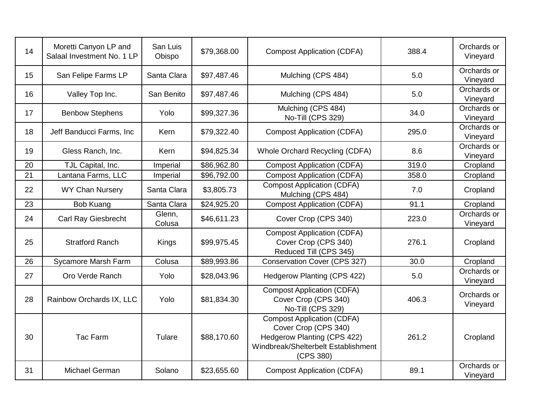| 14 | Moretti Canyon LP and<br>Salaal Investment No. 1 LP | San Luis<br>Obispo | \$79,368.00 | <b>Compost Application (CDFA)</b>                                                                                                                   | 388.4 | Orchards or<br>Vineyard |
|----|-----------------------------------------------------|--------------------|-------------|-----------------------------------------------------------------------------------------------------------------------------------------------------|-------|-------------------------|
| 15 | San Felipe Farms LP                                 | Santa Clara        | \$97,487.46 | Mulching (CPS 484)                                                                                                                                  | 5.0   | Orchards or<br>Vineyard |
| 16 | Valley Top Inc.                                     | San Benito         | \$97,487.46 | Mulching (CPS 484)                                                                                                                                  | 5.0   | Orchards or<br>Vineyard |
| 17 | <b>Benbow Stephens</b>                              | Yolo               | \$99,327.36 | Mulching (CPS 484)<br>No-Till (CPS 329)                                                                                                             | 34.0  | Orchards or<br>Vineyard |
| 18 | Jeff Banducci Farms, Inc.                           | Kern               | \$79,322.40 | <b>Compost Application (CDFA)</b>                                                                                                                   | 295.0 | Orchards or<br>Vineyard |
| 19 | Gless Ranch, Inc.                                   | Kern               | \$94,825.34 | Whole Orchard Recycling (CDFA)                                                                                                                      | 8.6   | Orchards or<br>Vineyard |
| 20 | TJL Capital, Inc.                                   | Imperial           | \$86,962.80 | <b>Compost Application (CDFA)</b>                                                                                                                   | 319.0 | Cropland                |
| 21 | Lantana Farms, LLC                                  | Imperial           | \$96,792.00 | <b>Compost Application (CDFA)</b>                                                                                                                   | 358.0 | Cropland                |
| 22 | <b>WY Chan Nursery</b>                              | Santa Clara        | \$3,805.73  | <b>Compost Application (CDFA)</b><br>Mulching (CPS 484)                                                                                             | 7.0   | Cropland                |
| 23 | Bob Kuang                                           | Santa Clara        | \$24,925.20 | <b>Compost Application (CDFA)</b>                                                                                                                   | 91.1  | Cropland                |
| 24 | <b>Carl Ray Giesbrecht</b>                          | Glenn,<br>Colusa   | \$46,611.23 | Cover Crop (CPS 340)                                                                                                                                | 223.0 | Orchards or<br>Vineyard |
| 25 | <b>Stratford Ranch</b>                              | Kings              | \$99,975.45 | <b>Compost Application (CDFA)</b><br>Cover Crop (CPS 340)<br>Reduced Till (CPS 345)                                                                 | 276.1 | Cropland                |
| 26 | Sycamore Marsh Farm                                 | Colusa             | \$89,993.86 | Conservation Cover (CPS 327)                                                                                                                        | 30.0  | Cropland                |
| 27 | Oro Verde Ranch                                     | Yolo               | \$28,043.96 | Hedgerow Planting (CPS 422)                                                                                                                         | 5.0   | Orchards or<br>Vineyard |
| 28 | Rainbow Orchards IX, LLC                            | Yolo               | \$81,834.30 | <b>Compost Application (CDFA)</b><br>Cover Crop (CPS 340)<br>No-Till (CPS 329)                                                                      | 406.3 | Orchards or<br>Vineyard |
| 30 | <b>Tac Farm</b>                                     | Tulare             | \$88,170.60 | <b>Compost Application (CDFA)</b><br>Cover Crop (CPS 340)<br><b>Hedgerow Planting (CPS 422)</b><br>Windbreak/Shelterbelt Establishment<br>(CPS 380) | 261.2 | Cropland                |
| 31 | Michael German                                      | Solano             | \$23,655.60 | <b>Compost Application (CDFA)</b>                                                                                                                   | 89.1  | Orchards or<br>Vineyard |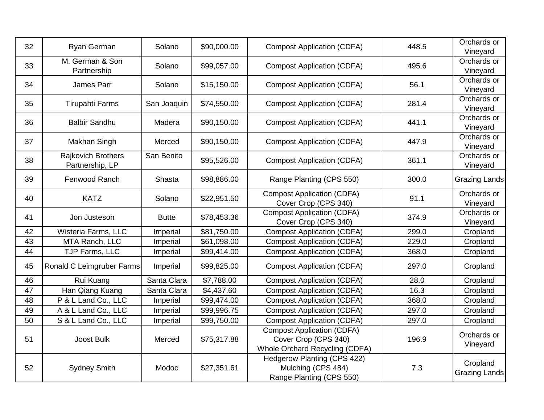| 32 | Ryan German                           | Solano       | \$90,000.00 | <b>Compost Application (CDFA)</b>                                                           | 448.5 | Orchards or<br>Vineyard          |
|----|---------------------------------------|--------------|-------------|---------------------------------------------------------------------------------------------|-------|----------------------------------|
| 33 | M. German & Son<br>Partnership        | Solano       | \$99,057.00 | <b>Compost Application (CDFA)</b>                                                           | 495.6 | Orchards or<br>Vineyard          |
| 34 | James Parr                            | Solano       | \$15,150.00 | <b>Compost Application (CDFA)</b>                                                           | 56.1  | Orchards or<br>Vineyard          |
| 35 | <b>Tirupahti Farms</b>                | San Joaquin  | \$74,550.00 | <b>Compost Application (CDFA)</b>                                                           | 281.4 | Orchards or<br>Vineyard          |
| 36 | <b>Balbir Sandhu</b>                  | Madera       | \$90,150.00 | <b>Compost Application (CDFA)</b>                                                           | 441.1 | Orchards or<br>Vineyard          |
| 37 | Makhan Singh                          | Merced       | \$90,150.00 | <b>Compost Application (CDFA)</b>                                                           | 447.9 | Orchards or<br>Vineyard          |
| 38 | Rajkovich Brothers<br>Partnership, LP | San Benito   | \$95,526.00 | <b>Compost Application (CDFA)</b>                                                           | 361.1 | Orchards or<br>Vineyard          |
| 39 | Fenwood Ranch                         | Shasta       | \$98,886.00 | Range Planting (CPS 550)                                                                    | 300.0 | <b>Grazing Lands</b>             |
| 40 | <b>KATZ</b>                           | Solano       | \$22,951.50 | <b>Compost Application (CDFA)</b><br>Cover Crop (CPS 340)                                   | 91.1  | Orchards or<br>Vineyard          |
| 41 | Jon Justeson                          | <b>Butte</b> | \$78,453.36 | <b>Compost Application (CDFA)</b><br>Cover Crop (CPS 340)                                   | 374.9 | Orchards or<br>Vineyard          |
| 42 | Wisteria Farms, LLC                   | Imperial     | \$81,750.00 | <b>Compost Application (CDFA)</b>                                                           | 299.0 | Cropland                         |
| 43 | MTA Ranch, LLC                        | Imperial     | \$61,098.00 | <b>Compost Application (CDFA)</b>                                                           | 229.0 | Cropland                         |
| 44 | TJP Farms, LLC                        | Imperial     | \$99,414.00 | <b>Compost Application (CDFA)</b>                                                           | 368.0 | Cropland                         |
| 45 | Ronald C Leimgruber Farms             | Imperial     | \$99,825.00 | <b>Compost Application (CDFA)</b>                                                           | 297.0 | Cropland                         |
| 46 | Rui Kuang                             | Santa Clara  | \$7,788.00  | <b>Compost Application (CDFA)</b>                                                           | 28.0  | Cropland                         |
| 47 | Han Qiang Kuang                       | Santa Clara  | \$4,437.60  | <b>Compost Application (CDFA)</b>                                                           | 16.3  | Cropland                         |
| 48 | P & L Land Co., LLC                   | Imperial     | \$99,474.00 | <b>Compost Application (CDFA)</b>                                                           | 368.0 | Cropland                         |
| 49 | A & L Land Co., LLC                   | Imperial     | \$99,996.75 | <b>Compost Application (CDFA)</b>                                                           | 297.0 | Cropland                         |
| 50 | S & L Land Co., LLC                   | Imperial     | \$99,750.00 | <b>Compost Application (CDFA)</b>                                                           | 297.0 | Cropland                         |
| 51 | Joost Bulk                            | Merced       | \$75,317.88 | <b>Compost Application (CDFA)</b><br>Cover Crop (CPS 340)<br>Whole Orchard Recycling (CDFA) | 196.9 | Orchards or<br>Vineyard          |
| 52 | <b>Sydney Smith</b>                   | Modoc        | \$27,351.61 | Hedgerow Planting (CPS 422)<br>Mulching (CPS 484)<br>Range Planting (CPS 550)               | 7.3   | Cropland<br><b>Grazing Lands</b> |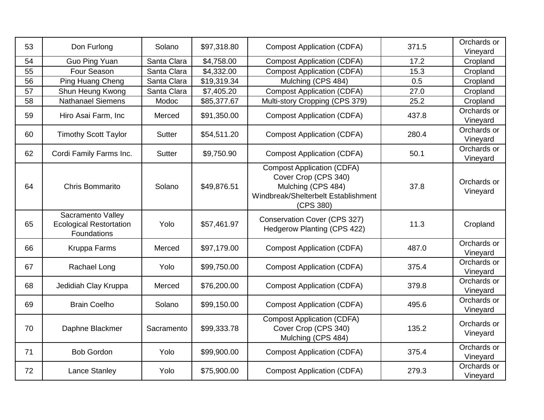| 53 | Don Furlong                                                        | Solano        | \$97,318.80 | <b>Compost Application (CDFA)</b>                                                                                                   | 371.5 | Orchards or<br>Vineyard |
|----|--------------------------------------------------------------------|---------------|-------------|-------------------------------------------------------------------------------------------------------------------------------------|-------|-------------------------|
| 54 | Guo Ping Yuan                                                      | Santa Clara   | \$4,758.00  | <b>Compost Application (CDFA)</b>                                                                                                   | 17.2  | Cropland                |
| 55 | Four Season                                                        | Santa Clara   | \$4,332.00  | <b>Compost Application (CDFA)</b>                                                                                                   | 15.3  | Cropland                |
| 56 | Ping Huang Cheng                                                   | Santa Clara   | \$19,319.34 | Mulching (CPS 484)                                                                                                                  | 0.5   | Cropland                |
| 57 | Shun Heung Kwong                                                   | Santa Clara   | \$7,405.20  | <b>Compost Application (CDFA)</b>                                                                                                   | 27.0  | Cropland                |
| 58 | <b>Nathanael Siemens</b>                                           | Modoc         | \$85,377.67 | Multi-story Cropping (CPS 379)                                                                                                      | 25.2  | Cropland                |
| 59 | Hiro Asai Farm, Inc                                                | Merced        | \$91,350.00 | <b>Compost Application (CDFA)</b>                                                                                                   | 437.8 | Orchards or<br>Vineyard |
| 60 | <b>Timothy Scott Taylor</b>                                        | <b>Sutter</b> | \$54,511.20 | <b>Compost Application (CDFA)</b>                                                                                                   | 280.4 | Orchards or<br>Vineyard |
| 62 | Cordi Family Farms Inc.                                            | <b>Sutter</b> | \$9,750.90  | <b>Compost Application (CDFA)</b>                                                                                                   | 50.1  | Orchards or<br>Vineyard |
| 64 | Chris Bommarito                                                    | Solano        | \$49,876.51 | <b>Compost Application (CDFA)</b><br>Cover Crop (CPS 340)<br>Mulching (CPS 484)<br>Windbreak/Shelterbelt Establishment<br>(CPS 380) | 37.8  | Orchards or<br>Vineyard |
| 65 | Sacramento Valley<br><b>Ecological Restortation</b><br>Foundations | Yolo          | \$57,461.97 | Conservation Cover (CPS 327)<br>Hedgerow Planting (CPS 422)                                                                         | 11.3  | Cropland                |
| 66 | Kruppa Farms                                                       | Merced        | \$97,179.00 | <b>Compost Application (CDFA)</b>                                                                                                   | 487.0 | Orchards or<br>Vineyard |
| 67 | Rachael Long                                                       | Yolo          | \$99,750.00 | <b>Compost Application (CDFA)</b>                                                                                                   | 375.4 | Orchards or<br>Vineyard |
| 68 | Jedidiah Clay Kruppa                                               | Merced        | \$76,200.00 | <b>Compost Application (CDFA)</b>                                                                                                   | 379.8 | Orchards or<br>Vineyard |
| 69 | <b>Brain Coelho</b>                                                | Solano        | \$99,150.00 | <b>Compost Application (CDFA)</b>                                                                                                   | 495.6 | Orchards or<br>Vineyard |
| 70 | Daphne Blackmer                                                    | Sacramento    | \$99,333.78 | <b>Compost Application (CDFA)</b><br>Cover Crop (CPS 340)<br>Mulching (CPS 484)                                                     | 135.2 | Orchards or<br>Vineyard |
| 71 | <b>Bob Gordon</b>                                                  | Yolo          | \$99,900.00 | <b>Compost Application (CDFA)</b>                                                                                                   | 375.4 | Orchards or<br>Vineyard |
| 72 | Lance Stanley                                                      | Yolo          | \$75,900.00 | <b>Compost Application (CDFA)</b>                                                                                                   | 279.3 | Orchards or<br>Vineyard |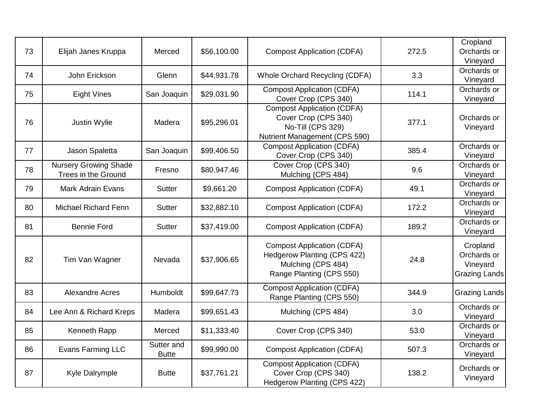| 73 | Elijah Janes Kruppa                                 | Merced                     | \$56,100.00 | <b>Compost Application (CDFA)</b>                                                                                         | 272.5 | Cropland<br>Orchards or<br>Vineyard                         |
|----|-----------------------------------------------------|----------------------------|-------------|---------------------------------------------------------------------------------------------------------------------------|-------|-------------------------------------------------------------|
| 74 | John Erickson                                       | Glenn                      | \$44,931.78 | Whole Orchard Recycling (CDFA)                                                                                            | 3.3   | Orchards or<br>Vineyard                                     |
| 75 | <b>Eight Vines</b>                                  | San Joaquin                | \$29,031.90 | <b>Compost Application (CDFA)</b><br>Cover Crop (CPS 340)                                                                 | 114.1 | Orchards or<br>Vineyard                                     |
| 76 | Justin Wylie                                        | Madera                     | \$95,296.01 | <b>Compost Application (CDFA)</b><br>Cover Crop (CPS 340)<br>No-Till (CPS 329)<br>Nutrient Management (CPS 590)           | 377.1 | Orchards or<br>Vineyard                                     |
| 77 | Jason Spaletta                                      | San Joaquin                | \$99,406.50 | <b>Compost Application (CDFA)</b><br>Cover Crop (CPS 340)                                                                 | 385.4 | Orchards or<br>Vineyard                                     |
| 78 | <b>Nursery Growing Shade</b><br>Trees in the Ground | Fresno                     | \$80,947.46 | Cover Crop (CPS 340)<br>Mulching (CPS 484)                                                                                | 9.6   | Orchards or<br>Vineyard                                     |
| 79 | <b>Mark Adrain Evans</b>                            | <b>Sutter</b>              | \$9,661.20  | <b>Compost Application (CDFA)</b>                                                                                         | 49.1  | Orchards or<br>Vineyard                                     |
| 80 | <b>Michael Richard Fenn</b>                         | <b>Sutter</b>              | \$32,882.10 | <b>Compost Application (CDFA)</b>                                                                                         | 172.2 | Orchards or<br>Vineyard                                     |
| 81 | <b>Bennie Ford</b>                                  | <b>Sutter</b>              | \$37,419.00 | <b>Compost Application (CDFA)</b>                                                                                         | 189.2 | Orchards or<br>Vineyard                                     |
| 82 | Tim Van Wagner                                      | Nevada                     | \$37,906.65 | <b>Compost Application (CDFA)</b><br><b>Hedgerow Planting (CPS 422)</b><br>Mulching (CPS 484)<br>Range Planting (CPS 550) | 24.8  | Cropland<br>Orchards or<br>Vineyard<br><b>Grazing Lands</b> |
| 83 | <b>Alexandre Acres</b>                              | Humboldt                   | \$99,647.73 | <b>Compost Application (CDFA)</b><br>Range Planting (CPS 550)                                                             | 344.9 | <b>Grazing Lands</b>                                        |
| 84 | Lee Ann & Richard Kreps                             | Madera                     | \$99,651.43 | Mulching (CPS 484)                                                                                                        | 3.0   | Orchards or<br>Vineyard                                     |
| 85 | Kenneth Rapp                                        | Merced                     | \$11,333.40 | Cover Crop (CPS 340)                                                                                                      | 53.0  | Orchards or<br>Vineyard                                     |
| 86 | Evans Farming LLC                                   | Sutter and<br><b>Butte</b> | \$99,990.00 | <b>Compost Application (CDFA)</b>                                                                                         | 507.3 | Orchards or<br>Vineyard                                     |
| 87 | Kyle Dalrymple                                      | <b>Butte</b>               | \$37,761.21 | <b>Compost Application (CDFA)</b><br>Cover Crop (CPS 340)<br>Hedgerow Planting (CPS 422)                                  | 138.2 | Orchards or<br>Vineyard                                     |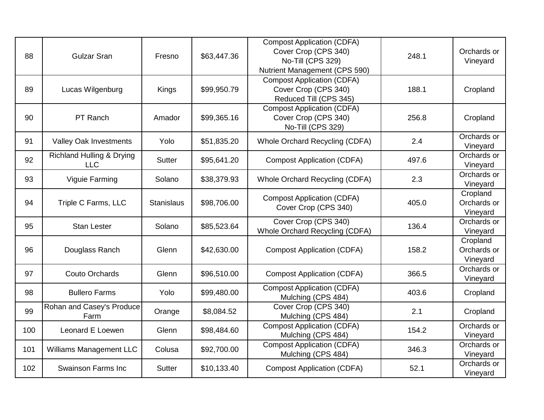| 88  | <b>Gulzar Sran</b>                                 | Fresno            | \$63,447.36 | <b>Compost Application (CDFA)</b><br>Cover Crop (CPS 340)<br>No-Till (CPS 329)<br>Nutrient Management (CPS 590) | 248.1 | Orchards or<br>Vineyard             |
|-----|----------------------------------------------------|-------------------|-------------|-----------------------------------------------------------------------------------------------------------------|-------|-------------------------------------|
| 89  | Lucas Wilgenburg                                   | Kings             | \$99,950.79 | <b>Compost Application (CDFA)</b><br>Cover Crop (CPS 340)<br>Reduced Till (CPS 345)                             | 188.1 | Cropland                            |
| 90  | PT Ranch                                           | Amador            | \$99,365.16 | <b>Compost Application (CDFA)</b><br>Cover Crop (CPS 340)<br>No-Till (CPS 329)                                  | 256.8 | Cropland                            |
| 91  | <b>Valley Oak Investments</b>                      | Yolo              | \$51,835.20 | Whole Orchard Recycling (CDFA)                                                                                  | 2.4   | Orchards or<br>Vineyard             |
| 92  | <b>Richland Hulling &amp; Drying</b><br><b>LLC</b> | <b>Sutter</b>     | \$95,641.20 | <b>Compost Application (CDFA)</b>                                                                               | 497.6 | Orchards or<br>Vineyard             |
| 93  | Viguie Farming                                     | Solano            | \$38,379.93 | Whole Orchard Recycling (CDFA)                                                                                  | 2.3   | Orchards or<br>Vineyard             |
| 94  | Triple C Farms, LLC                                | <b>Stanislaus</b> | \$98,706.00 | <b>Compost Application (CDFA)</b><br>Cover Crop (CPS 340)                                                       | 405.0 | Cropland<br>Orchards or<br>Vineyard |
| 95  | <b>Stan Lester</b>                                 | Solano            | \$85,523.64 | Cover Crop (CPS 340)<br>Whole Orchard Recycling (CDFA)                                                          | 136.4 | Orchards or<br>Vineyard             |
| 96  | Douglass Ranch                                     | Glenn             | \$42,630.00 | <b>Compost Application (CDFA)</b>                                                                               | 158.2 | Cropland<br>Orchards or<br>Vineyard |
| 97  | <b>Couto Orchards</b>                              | Glenn             | \$96,510.00 | <b>Compost Application (CDFA)</b>                                                                               | 366.5 | Orchards or<br>Vineyard             |
| 98  | <b>Bullero Farms</b>                               | Yolo              | \$99,480.00 | <b>Compost Application (CDFA)</b><br>Mulching (CPS 484)                                                         | 403.6 | Cropland                            |
| 99  | Rohan and Casey's Produce<br>Farm                  | Orange            | \$8,084.52  | Cover Crop (CPS 340)<br>Mulching (CPS 484)                                                                      | 2.1   | Cropland                            |
| 100 | Leonard E Loewen                                   | Glenn             | \$98,484.60 | <b>Compost Application (CDFA)</b><br>Mulching (CPS 484)                                                         | 154.2 | Orchards or<br>Vineyard             |
| 101 | <b>Williams Management LLC</b>                     | Colusa            | \$92,700.00 | <b>Compost Application (CDFA)</b><br>Mulching (CPS 484)                                                         | 346.3 | Orchards or<br>Vineyard             |
| 102 | <b>Swainson Farms Inc</b>                          | <b>Sutter</b>     | \$10,133.40 | <b>Compost Application (CDFA)</b>                                                                               | 52.1  | Orchards or<br>Vineyard             |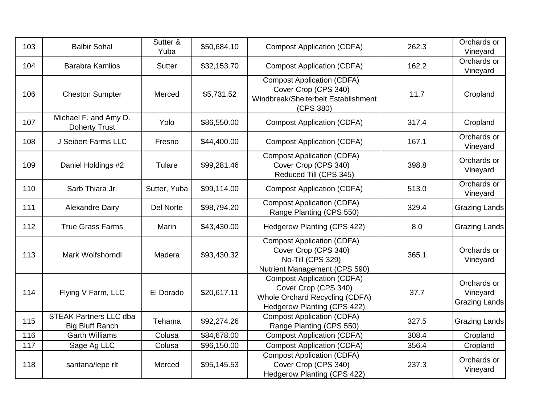| 103 | <b>Balbir Sohal</b>                                     | Sutter &<br>Yuba | \$50,684.10 | <b>Compost Application (CDFA)</b>                                                                                          | 262.3 | Orchards or<br>Vineyard                  |
|-----|---------------------------------------------------------|------------------|-------------|----------------------------------------------------------------------------------------------------------------------------|-------|------------------------------------------|
| 104 | <b>Barabra Kamlios</b>                                  | <b>Sutter</b>    | \$32,153.70 | <b>Compost Application (CDFA)</b>                                                                                          | 162.2 | Orchards or<br>Vineyard                  |
| 106 | <b>Cheston Sumpter</b>                                  | Merced           | \$5,731.52  | <b>Compost Application (CDFA)</b><br>Cover Crop (CPS 340)<br>Windbreak/Shelterbelt Establishment<br>(CPS 380)              | 11.7  | Cropland                                 |
| 107 | Michael F. and Amy D.<br><b>Doherty Trust</b>           | Yolo             | \$86,550.00 | <b>Compost Application (CDFA)</b>                                                                                          | 317.4 | Cropland                                 |
| 108 | J Seibert Farms LLC                                     | Fresno           | \$44,400.00 | <b>Compost Application (CDFA)</b>                                                                                          | 167.1 | Orchards or<br>Vineyard                  |
| 109 | Daniel Holdings #2                                      | Tulare           | \$99,281.46 | <b>Compost Application (CDFA)</b><br>Cover Crop (CPS 340)<br>Reduced Till (CPS 345)                                        | 398.8 | Orchards or<br>Vineyard                  |
| 110 | Sarb Thiara Jr.                                         | Sutter, Yuba     | \$99,114.00 | <b>Compost Application (CDFA)</b>                                                                                          | 513.0 | Orchards or<br>Vineyard                  |
| 111 | <b>Alexandre Dairy</b>                                  | Del Norte        | \$98,794.20 | <b>Compost Application (CDFA)</b><br>Range Planting (CPS 550)                                                              | 329.4 | <b>Grazing Lands</b>                     |
| 112 | <b>True Grass Farms</b>                                 | Marin            | \$43,430.00 | <b>Hedgerow Planting (CPS 422)</b>                                                                                         | 8.0   | <b>Grazing Lands</b>                     |
| 113 | Mark Wolfshorndl                                        | Madera           | \$93,430.32 | <b>Compost Application (CDFA)</b><br>Cover Crop (CPS 340)<br>No-Till (CPS 329)<br>Nutrient Management (CPS 590)            | 365.1 | Orchards or<br>Vineyard                  |
| 114 | Flying V Farm, LLC                                      | El Dorado        | \$20,617.11 | <b>Compost Application (CDFA)</b><br>Cover Crop (CPS 340)<br>Whole Orchard Recycling (CDFA)<br>Hedgerow Planting (CPS 422) | 37.7  | Orchards or<br>Vineyard<br>Grazing Lands |
| 115 | <b>STEAK Partners LLC dba</b><br><b>Big Bluff Ranch</b> | Tehama           | \$92,274.26 | <b>Compost Application (CDFA)</b><br>Range Planting (CPS 550)                                                              | 327.5 | Grazing Lands                            |
| 116 | <b>Garth Williams</b>                                   | Colusa           | \$84,678.00 | <b>Compost Application (CDFA)</b>                                                                                          | 308.4 | Cropland                                 |
| 117 | Sage Ag LLC                                             | Colusa           | \$96,150.00 | <b>Compost Application (CDFA)</b>                                                                                          | 356.4 | Cropland                                 |
| 118 | santana/lepe rlt                                        | Merced           | \$95,145.53 | <b>Compost Application (CDFA)</b><br>Cover Crop (CPS 340)<br>Hedgerow Planting (CPS 422)                                   | 237.3 | Orchards or<br>Vineyard                  |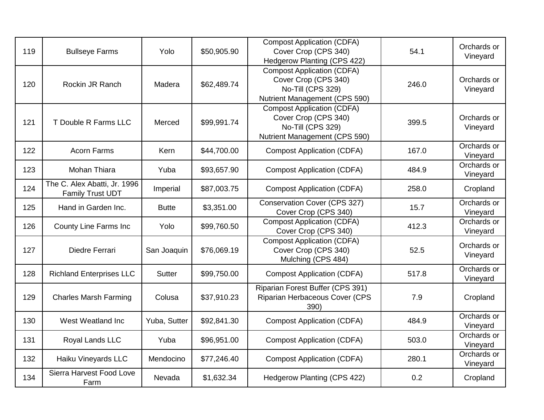| 119 | <b>Bullseye Farms</b>                                   | Yolo          | \$50,905.90 | <b>Compost Application (CDFA)</b><br>Cover Crop (CPS 340)<br>Hedgerow Planting (CPS 422)                        | 54.1  | Orchards or<br>Vineyard |
|-----|---------------------------------------------------------|---------------|-------------|-----------------------------------------------------------------------------------------------------------------|-------|-------------------------|
| 120 | Rockin JR Ranch                                         | Madera        | \$62,489.74 | <b>Compost Application (CDFA)</b><br>Cover Crop (CPS 340)<br>No-Till (CPS 329)<br>Nutrient Management (CPS 590) | 246.0 | Orchards or<br>Vineyard |
| 121 | T Double R Farms LLC                                    | Merced        | \$99,991.74 | <b>Compost Application (CDFA)</b><br>Cover Crop (CPS 340)<br>No-Till (CPS 329)<br>Nutrient Management (CPS 590) | 399.5 | Orchards or<br>Vineyard |
| 122 | <b>Acorn Farms</b>                                      | Kern          | \$44,700.00 | <b>Compost Application (CDFA)</b>                                                                               | 167.0 | Orchards or<br>Vineyard |
| 123 | Mohan Thiara                                            | Yuba          | \$93,657.90 | <b>Compost Application (CDFA)</b>                                                                               | 484.9 | Orchards or<br>Vineyard |
| 124 | The C. Alex Abatti, Jr. 1996<br><b>Family Trust UDT</b> | Imperial      | \$87,003.75 | <b>Compost Application (CDFA)</b>                                                                               | 258.0 | Cropland                |
| 125 | Hand in Garden Inc.                                     | <b>Butte</b>  | \$3,351.00  | <b>Conservation Cover (CPS 327)</b><br>Cover Crop (CPS 340)                                                     | 15.7  | Orchards or<br>Vineyard |
| 126 | <b>County Line Farms Inc</b>                            | Yolo          | \$99,760.50 | <b>Compost Application (CDFA)</b><br>Cover Crop (CPS 340)                                                       | 412.3 | Orchards or<br>Vineyard |
| 127 | Diedre Ferrari                                          | San Joaquin   | \$76,069.19 | <b>Compost Application (CDFA)</b><br>Cover Crop (CPS 340)<br>Mulching (CPS 484)                                 | 52.5  | Orchards or<br>Vineyard |
| 128 | <b>Richland Enterprises LLC</b>                         | <b>Sutter</b> | \$99,750.00 | <b>Compost Application (CDFA)</b>                                                                               | 517.8 | Orchards or<br>Vineyard |
| 129 | <b>Charles Marsh Farming</b>                            | Colusa        | \$37,910.23 | Riparian Forest Buffer (CPS 391)<br>Riparian Herbaceous Cover (CPS<br>390)                                      | 7.9   | Cropland                |
| 130 | West Weatland Inc                                       | Yuba, Sutter  | \$92,841.30 | <b>Compost Application (CDFA)</b>                                                                               | 484.9 | Orchards or<br>Vineyard |
| 131 | Royal Lands LLC                                         | Yuba          | \$96,951.00 | <b>Compost Application (CDFA)</b>                                                                               | 503.0 | Orchards or<br>Vineyard |
| 132 | Haiku Vineyards LLC                                     | Mendocino     | \$77,246.40 | <b>Compost Application (CDFA)</b>                                                                               | 280.1 | Orchards or<br>Vineyard |
| 134 | Sierra Harvest Food Love<br>Farm                        | Nevada        | \$1,632.34  | Hedgerow Planting (CPS 422)                                                                                     | 0.2   | Cropland                |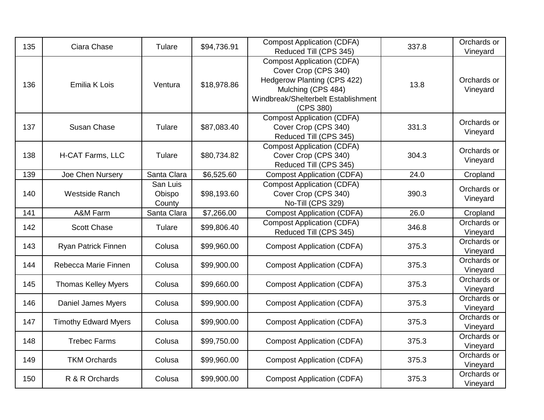| 135 | Ciara Chase                 | Tulare                       | \$94,736.91 | <b>Compost Application (CDFA)</b><br>Reduced Till (CPS 345)                                                                                                        | 337.8 | Orchards or<br>Vineyard |
|-----|-----------------------------|------------------------------|-------------|--------------------------------------------------------------------------------------------------------------------------------------------------------------------|-------|-------------------------|
| 136 | <b>Emilia K Lois</b>        | Ventura                      | \$18,978.86 | <b>Compost Application (CDFA)</b><br>Cover Crop (CPS 340)<br>Hedgerow Planting (CPS 422)<br>Mulching (CPS 484)<br>Windbreak/Shelterbelt Establishment<br>(CPS 380) | 13.8  | Orchards or<br>Vineyard |
| 137 | Susan Chase                 | Tulare                       | \$87,083.40 | <b>Compost Application (CDFA)</b><br>Cover Crop (CPS 340)<br>Reduced Till (CPS 345)                                                                                | 331.3 | Orchards or<br>Vineyard |
| 138 | H-CAT Farms, LLC            | Tulare                       | \$80,734.82 | <b>Compost Application (CDFA)</b><br>Cover Crop (CPS 340)<br>Reduced Till (CPS 345)                                                                                | 304.3 | Orchards or<br>Vineyard |
| 139 | Joe Chen Nursery            | Santa Clara                  | \$6,525.60  | <b>Compost Application (CDFA)</b>                                                                                                                                  | 24.0  | Cropland                |
| 140 | Westside Ranch              | San Luis<br>Obispo<br>County | \$98,193.60 | <b>Compost Application (CDFA)</b><br>Cover Crop (CPS 340)<br>No-Till (CPS 329)                                                                                     | 390.3 | Orchards or<br>Vineyard |
| 141 | A&M Farm                    | Santa Clara                  | \$7,266.00  | Compost Application (CDFA)                                                                                                                                         | 26.0  | Cropland                |
| 142 | <b>Scott Chase</b>          | Tulare                       | \$99,806.40 | <b>Compost Application (CDFA)</b><br>Reduced Till (CPS 345)                                                                                                        | 346.8 | Orchards or<br>Vineyard |
| 143 | Ryan Patrick Finnen         | Colusa                       | \$99,960.00 | <b>Compost Application (CDFA)</b>                                                                                                                                  | 375.3 | Orchards or<br>Vineyard |
| 144 | Rebecca Marie Finnen        | Colusa                       | \$99,900.00 | <b>Compost Application (CDFA)</b>                                                                                                                                  | 375.3 | Orchards or<br>Vineyard |
| 145 | <b>Thomas Kelley Myers</b>  | Colusa                       | \$99,660.00 | <b>Compost Application (CDFA)</b>                                                                                                                                  | 375.3 | Orchards or<br>Vineyard |
| 146 | Daniel James Myers          | Colusa                       | \$99,900.00 | <b>Compost Application (CDFA)</b>                                                                                                                                  | 375.3 | Orchards or<br>Vineyard |
| 147 | <b>Timothy Edward Myers</b> | Colusa                       | \$99,900.00 | <b>Compost Application (CDFA)</b>                                                                                                                                  | 375.3 | Orchards or<br>Vineyard |
| 148 | <b>Trebec Farms</b>         | Colusa                       | \$99,750.00 | <b>Compost Application (CDFA)</b>                                                                                                                                  | 375.3 | Orchards or<br>Vineyard |
| 149 | <b>TKM Orchards</b>         | Colusa                       | \$99,960.00 | <b>Compost Application (CDFA)</b>                                                                                                                                  | 375.3 | Orchards or<br>Vineyard |
| 150 | R & R Orchards              | Colusa                       | \$99,900.00 | <b>Compost Application (CDFA)</b>                                                                                                                                  | 375.3 | Orchards or<br>Vineyard |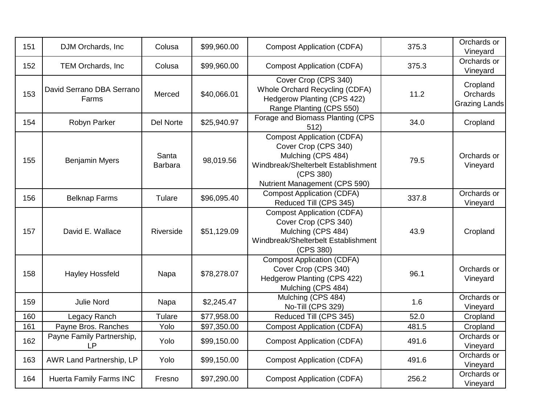| 151 | DJM Orchards, Inc                      | Colusa                  | \$99,960.00 | <b>Compost Application (CDFA)</b>                                                                                                                                    | 375.3 | Orchards or<br>Vineyard                      |
|-----|----------------------------------------|-------------------------|-------------|----------------------------------------------------------------------------------------------------------------------------------------------------------------------|-------|----------------------------------------------|
| 152 | TEM Orchards, Inc.                     | Colusa                  | \$99,960.00 | <b>Compost Application (CDFA)</b>                                                                                                                                    | 375.3 | Orchards or<br>Vineyard                      |
| 153 | David Serrano DBA Serrano<br>Farms     | Merced                  | \$40,066.01 | Cover Crop (CPS 340)<br>Whole Orchard Recycling (CDFA)<br><b>Hedgerow Planting (CPS 422)</b><br>Range Planting (CPS 550)                                             | 11.2  | Cropland<br>Orchards<br><b>Grazing Lands</b> |
| 154 | Robyn Parker                           | <b>Del Norte</b>        | \$25,940.97 | Forage and Biomass Planting (CPS<br>512)                                                                                                                             | 34.0  | Cropland                                     |
| 155 | <b>Benjamin Myers</b>                  | Santa<br><b>Barbara</b> | 98,019.56   | <b>Compost Application (CDFA)</b><br>Cover Crop (CPS 340)<br>Mulching (CPS 484)<br>Windbreak/Shelterbelt Establishment<br>(CPS 380)<br>Nutrient Management (CPS 590) | 79.5  | Orchards or<br>Vineyard                      |
| 156 | <b>Belknap Farms</b>                   | Tulare                  | \$96,095.40 | <b>Compost Application (CDFA)</b><br>Reduced Till (CPS 345)                                                                                                          | 337.8 | Orchards or<br>Vineyard                      |
| 157 | David E. Wallace                       | Riverside               | \$51,129.09 | <b>Compost Application (CDFA)</b><br>Cover Crop (CPS 340)<br>Mulching (CPS 484)<br>Windbreak/Shelterbelt Establishment<br>(CPS 380)                                  | 43.9  | Cropland                                     |
| 158 | <b>Hayley Hossfeld</b>                 | Napa                    | \$78,278.07 | <b>Compost Application (CDFA)</b><br>Cover Crop (CPS 340)<br>Hedgerow Planting (CPS 422)<br>Mulching (CPS 484)                                                       | 96.1  | Orchards or<br>Vineyard                      |
| 159 | <b>Julie Nord</b>                      | Napa                    | \$2,245.47  | Mulching (CPS 484)<br>No-Till (CPS 329)                                                                                                                              | 1.6   | Orchards or<br>Vineyard                      |
| 160 | Legacy Ranch                           | Tulare                  | \$77,958.00 | Reduced Till (CPS 345)                                                                                                                                               | 52.0  | Cropland                                     |
| 161 | Payne Bros. Ranches                    | Yolo                    | \$97,350.00 | <b>Compost Application (CDFA)</b>                                                                                                                                    | 481.5 | Cropland                                     |
| 162 | Payne Family Partnership,<br><b>LP</b> | Yolo                    | \$99,150.00 | <b>Compost Application (CDFA)</b>                                                                                                                                    | 491.6 | Orchards or<br>Vineyard                      |
| 163 | AWR Land Partnership, LP               | Yolo                    | \$99,150.00 | <b>Compost Application (CDFA)</b>                                                                                                                                    | 491.6 | Orchards or<br>Vineyard                      |
| 164 | <b>Huerta Family Farms INC</b>         | Fresno                  | \$97,290.00 | <b>Compost Application (CDFA)</b>                                                                                                                                    | 256.2 | Orchards or<br>Vineyard                      |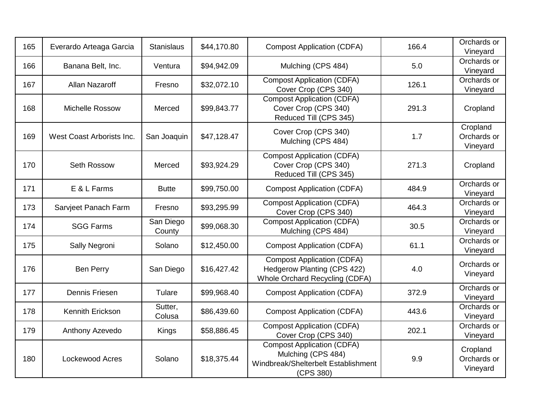| 165 | Everardo Arteaga Garcia   | <b>Stanislaus</b>   | \$44,170.80 | <b>Compost Application (CDFA)</b>                                                                           | 166.4 | Orchards or<br>Vineyard             |
|-----|---------------------------|---------------------|-------------|-------------------------------------------------------------------------------------------------------------|-------|-------------------------------------|
| 166 | Banana Belt, Inc.         | Ventura             | \$94,942.09 | Mulching (CPS 484)                                                                                          | 5.0   | Orchards or<br>Vineyard             |
| 167 | Allan Nazaroff            | Fresno              | \$32,072.10 | <b>Compost Application (CDFA)</b><br>Cover Crop (CPS 340)                                                   | 126.1 | Orchards or<br>Vineyard             |
| 168 | Michelle Rossow           | Merced              | \$99,843.77 | <b>Compost Application (CDFA)</b><br>Cover Crop (CPS 340)<br>Reduced Till (CPS 345)                         | 291.3 | Cropland                            |
| 169 | West Coast Arborists Inc. | San Joaquin         | \$47,128.47 | Cover Crop (CPS 340)<br>Mulching (CPS 484)                                                                  | 1.7   | Cropland<br>Orchards or<br>Vineyard |
| 170 | Seth Rossow               | Merced              | \$93,924.29 | <b>Compost Application (CDFA)</b><br>Cover Crop (CPS 340)<br>Reduced Till (CPS 345)                         | 271.3 | Cropland                            |
| 171 | E & L Farms               | <b>Butte</b>        | \$99,750.00 | <b>Compost Application (CDFA)</b>                                                                           | 484.9 | Orchards or<br>Vineyard             |
| 173 | Sarvjeet Panach Farm      | Fresno              | \$93,295.99 | <b>Compost Application (CDFA)</b><br>Cover Crop (CPS 340)                                                   | 464.3 | Orchards or<br>Vineyard             |
| 174 | <b>SGG Farms</b>          | San Diego<br>County | \$99,068.30 | <b>Compost Application (CDFA)</b><br>Mulching (CPS 484)                                                     | 30.5  | Orchards or<br>Vineyard             |
| 175 | Sally Negroni             | Solano              | \$12,450.00 | <b>Compost Application (CDFA)</b>                                                                           | 61.1  | Orchards or<br>Vineyard             |
| 176 | <b>Ben Perry</b>          | San Diego           | \$16,427.42 | <b>Compost Application (CDFA)</b><br><b>Hedgerow Planting (CPS 422)</b><br>Whole Orchard Recycling (CDFA)   | 4.0   | Orchards or<br>Vineyard             |
| 177 | Dennis Friesen            | Tulare              | \$99,968.40 | <b>Compost Application (CDFA)</b>                                                                           | 372.9 | Orchards or<br>Vineyard             |
| 178 | Kennith Erickson          | Sutter,<br>Colusa   | \$86,439.60 | <b>Compost Application (CDFA)</b>                                                                           | 443.6 | Orchards or<br>Vineyard             |
| 179 | Anthony Azevedo           | Kings               | \$58,886.45 | <b>Compost Application (CDFA)</b><br>Cover Crop (CPS 340)                                                   | 202.1 | Orchards or<br>Vineyard             |
| 180 | Lockewood Acres           | Solano              | \$18,375.44 | <b>Compost Application (CDFA)</b><br>Mulching (CPS 484)<br>Windbreak/Shelterbelt Establishment<br>(CPS 380) | 9.9   | Cropland<br>Orchards or<br>Vineyard |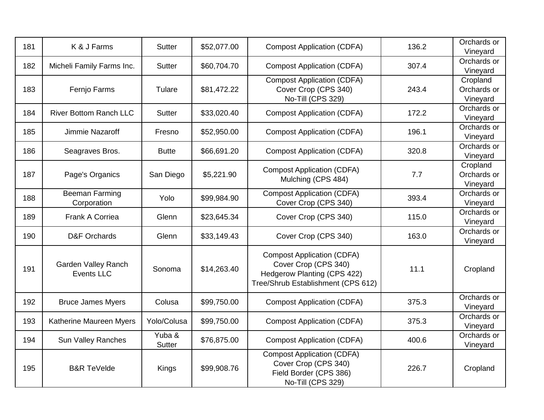| 181 | K & J Farms                                     | <b>Sutter</b>           | \$52,077.00 | <b>Compost Application (CDFA)</b>                                                                                              | 136.2 | Orchards or<br>Vineyard             |
|-----|-------------------------------------------------|-------------------------|-------------|--------------------------------------------------------------------------------------------------------------------------------|-------|-------------------------------------|
| 182 | Micheli Family Farms Inc.                       | <b>Sutter</b>           | \$60,704.70 | <b>Compost Application (CDFA)</b>                                                                                              | 307.4 | Orchards or<br>Vineyard             |
| 183 | Fernjo Farms                                    | Tulare                  | \$81,472.22 | <b>Compost Application (CDFA)</b><br>Cover Crop (CPS 340)<br>No-Till (CPS 329)                                                 | 243.4 | Cropland<br>Orchards or<br>Vineyard |
| 184 | <b>River Bottom Ranch LLC</b>                   | <b>Sutter</b>           | \$33,020.40 | <b>Compost Application (CDFA)</b>                                                                                              | 172.2 | Orchards or<br>Vineyard             |
| 185 | Jimmie Nazaroff                                 | Fresno                  | \$52,950.00 | <b>Compost Application (CDFA)</b>                                                                                              | 196.1 | Orchards or<br>Vineyard             |
| 186 | Seagraves Bros.                                 | <b>Butte</b>            | \$66,691.20 | <b>Compost Application (CDFA)</b>                                                                                              | 320.8 | Orchards or<br>Vineyard             |
| 187 | Page's Organics                                 | San Diego               | \$5,221.90  | <b>Compost Application (CDFA)</b><br>Mulching (CPS 484)                                                                        | 7.7   | Cropland<br>Orchards or<br>Vineyard |
| 188 | <b>Beeman Farming</b><br>Corporation            | Yolo                    | \$99,984.90 | <b>Compost Application (CDFA)</b><br>Cover Crop (CPS 340)                                                                      | 393.4 | Orchards or<br>Vineyard             |
| 189 | Frank A Corriea                                 | Glenn                   | \$23,645.34 | Cover Crop (CPS 340)                                                                                                           | 115.0 | Orchards or<br>Vineyard             |
| 190 | <b>D&amp;F Orchards</b>                         | Glenn                   | \$33,149.43 | Cover Crop (CPS 340)                                                                                                           | 163.0 | Orchards or<br>Vineyard             |
| 191 | <b>Garden Valley Ranch</b><br><b>Events LLC</b> | Sonoma                  | \$14,263.40 | <b>Compost Application (CDFA)</b><br>Cover Crop (CPS 340)<br>Hedgerow Planting (CPS 422)<br>Tree/Shrub Establishment (CPS 612) | 11.1  | Cropland                            |
| 192 | <b>Bruce James Myers</b>                        | Colusa                  | \$99,750.00 | <b>Compost Application (CDFA)</b>                                                                                              | 375.3 | Orchards or<br>Vineyard             |
| 193 | Katherine Maureen Myers                         | Yolo/Colusa             | \$99,750.00 | <b>Compost Application (CDFA)</b>                                                                                              | 375.3 | Orchards or<br>Vineyard             |
| 194 | <b>Sun Valley Ranches</b>                       | Yuba &<br><b>Sutter</b> | \$76,875.00 | <b>Compost Application (CDFA)</b>                                                                                              | 400.6 | Orchards or<br>Vineyard             |
| 195 | <b>B&amp;R TeVelde</b>                          | Kings                   | \$99,908.76 | <b>Compost Application (CDFA)</b><br>Cover Crop (CPS 340)<br>Field Border (CPS 386)<br>No-Till (CPS 329)                       | 226.7 | Cropland                            |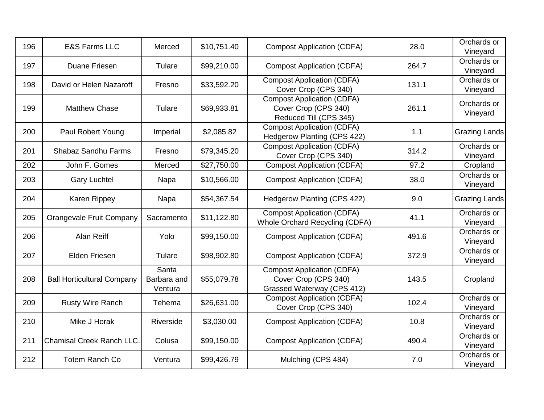| 196 | <b>E&amp;S Farms LLC</b>          | Merced                          | \$10,751.40 | <b>Compost Application (CDFA)</b>                                                       | 28.0  | Orchards or<br>Vineyard |
|-----|-----------------------------------|---------------------------------|-------------|-----------------------------------------------------------------------------------------|-------|-------------------------|
| 197 | Duane Friesen                     | Tulare                          | \$99,210.00 | <b>Compost Application (CDFA)</b>                                                       | 264.7 | Orchards or<br>Vineyard |
| 198 | David or Helen Nazaroff           | Fresno                          | \$33,592.20 | <b>Compost Application (CDFA)</b><br>Cover Crop (CPS 340)                               | 131.1 | Orchards or<br>Vineyard |
| 199 | <b>Matthew Chase</b>              | Tulare                          | \$69,933.81 | <b>Compost Application (CDFA)</b><br>Cover Crop (CPS 340)<br>Reduced Till (CPS 345)     | 261.1 | Orchards or<br>Vineyard |
| 200 | Paul Robert Young                 | Imperial                        | \$2,085.82  | <b>Compost Application (CDFA)</b><br>Hedgerow Planting (CPS 422)                        | 1.1   | <b>Grazing Lands</b>    |
| 201 | Shabaz Sandhu Farms               | Fresno                          | \$79,345.20 | <b>Compost Application (CDFA)</b><br>Cover Crop (CPS 340)                               | 314.2 | Orchards or<br>Vineyard |
| 202 | John F. Gomes                     | Merced                          | \$27,750.00 | <b>Compost Application (CDFA)</b>                                                       | 97.2  | Cropland                |
| 203 | <b>Gary Luchtel</b>               | Napa                            | \$10,566.00 | <b>Compost Application (CDFA)</b>                                                       | 38.0  | Orchards or<br>Vineyard |
| 204 | Karen Rippey                      | Napa                            | \$54,367.54 | Hedgerow Planting (CPS 422)                                                             | 9.0   | <b>Grazing Lands</b>    |
| 205 | Orangevale Fruit Company          | Sacramento                      | \$11,122.80 | <b>Compost Application (CDFA)</b><br>Whole Orchard Recycling (CDFA)                     | 41.1  | Orchards or<br>Vineyard |
| 206 | Alan Reiff                        | Yolo                            | \$99,150.00 | <b>Compost Application (CDFA)</b>                                                       | 491.6 | Orchards or<br>Vineyard |
| 207 | <b>Elden Friesen</b>              | Tulare                          | \$98,902.80 | <b>Compost Application (CDFA)</b>                                                       | 372.9 | Orchards or<br>Vineyard |
| 208 | <b>Ball Horticultural Company</b> | Santa<br>Barbara and<br>Ventura | \$55,079.78 | <b>Compost Application (CDFA)</b><br>Cover Crop (CPS 340)<br>Grassed Waterway (CPS 412) | 143.5 | Cropland                |
| 209 | Rusty Wire Ranch                  | Tehema                          | \$26,631.00 | <b>Compost Application (CDFA)</b><br>Cover Crop (CPS 340)                               | 102.4 | Orchards or<br>Vineyard |
| 210 | Mike J Horak                      | Riverside                       | \$3,030.00  | <b>Compost Application (CDFA)</b>                                                       | 10.8  | Orchards or<br>Vineyard |
| 211 | Chamisal Creek Ranch LLC.         | Colusa                          | \$99,150.00 | <b>Compost Application (CDFA)</b>                                                       | 490.4 | Orchards or<br>Vineyard |
| 212 | <b>Totem Ranch Co</b>             | Ventura                         | \$99,426.79 | Mulching (CPS 484)                                                                      | 7.0   | Orchards or<br>Vineyard |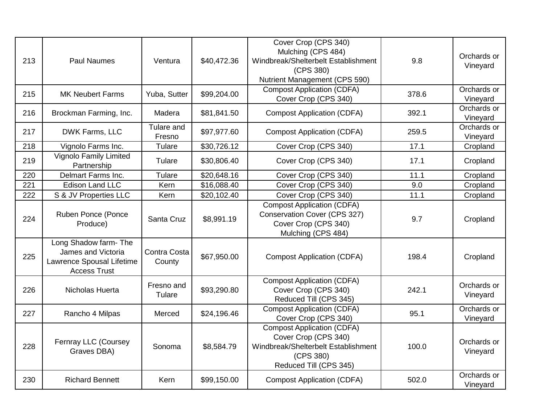| 213 | <b>Paul Naumes</b>                                                                              | Ventura                | \$40,472.36 | Cover Crop (CPS 340)<br>Mulching (CPS 484)<br>Windbreak/Shelterbelt Establishment<br>(CPS 380)<br>Nutrient Management (CPS 590)         | 9.8   | Orchards or<br>Vineyard |
|-----|-------------------------------------------------------------------------------------------------|------------------------|-------------|-----------------------------------------------------------------------------------------------------------------------------------------|-------|-------------------------|
| 215 | <b>MK Neubert Farms</b>                                                                         | Yuba, Sutter           | \$99,204.00 | <b>Compost Application (CDFA)</b><br>Cover Crop (CPS 340)                                                                               | 378.6 | Orchards or<br>Vineyard |
| 216 | Brockman Farming, Inc.                                                                          | Madera                 | \$81,841.50 | <b>Compost Application (CDFA)</b>                                                                                                       | 392.1 | Orchards or<br>Vineyard |
| 217 | DWK Farms, LLC                                                                                  | Tulare and<br>Fresno   | \$97,977.60 | <b>Compost Application (CDFA)</b>                                                                                                       | 259.5 | Orchards or<br>Vineyard |
| 218 | Vignolo Farms Inc.                                                                              | Tulare                 | \$30,726.12 | Cover Crop (CPS 340)                                                                                                                    | 17.1  | Cropland                |
| 219 | <b>Vignolo Family Limited</b><br>Partnership                                                    | Tulare                 | \$30,806.40 | Cover Crop (CPS 340)                                                                                                                    | 17.1  | Cropland                |
| 220 | Delmart Farms Inc.                                                                              | Tulare                 | \$20,648.16 | Cover Crop (CPS 340)                                                                                                                    | 11.1  | Cropland                |
| 221 | <b>Edison Land LLC</b>                                                                          | Kern                   | \$16,088.40 | Cover Crop (CPS 340)                                                                                                                    | 9.0   | Cropland                |
| 222 | S & JV Properties LLC                                                                           | Kern                   | \$20,102.40 | Cover Crop (CPS 340)                                                                                                                    | 11.1  | Cropland                |
| 224 | Ruben Ponce (Ponce<br>Produce)                                                                  | Santa Cruz             | \$8,991.19  | <b>Compost Application (CDFA)</b><br>Conservation Cover (CPS 327)<br>Cover Crop (CPS 340)<br>Mulching (CPS 484)                         | 9.7   | Cropland                |
| 225 | Long Shadow farm- The<br>James and Victoria<br>Lawrence Spousal Lifetime<br><b>Access Trust</b> | Contra Costa<br>County | \$67,950.00 | <b>Compost Application (CDFA)</b>                                                                                                       | 198.4 | Cropland                |
| 226 | Nicholas Huerta                                                                                 | Fresno and<br>Tulare   | \$93,290.80 | <b>Compost Application (CDFA)</b><br>Cover Crop (CPS 340)<br>Reduced Till (CPS 345)                                                     | 242.1 | Orchards or<br>Vineyard |
| 227 | Rancho 4 Milpas                                                                                 | Merced                 | \$24,196.46 | <b>Compost Application (CDFA)</b><br>Cover Crop (CPS 340)                                                                               | 95.1  | Orchards or<br>Vineyard |
| 228 | Fernray LLC (Coursey<br>Graves DBA)                                                             | Sonoma                 | \$8,584.79  | <b>Compost Application (CDFA)</b><br>Cover Crop (CPS 340)<br>Windbreak/Shelterbelt Establishment<br>(CPS 380)<br>Reduced Till (CPS 345) | 100.0 | Orchards or<br>Vineyard |
| 230 | <b>Richard Bennett</b>                                                                          | Kern                   | \$99,150.00 | <b>Compost Application (CDFA)</b>                                                                                                       | 502.0 | Orchards or<br>Vineyard |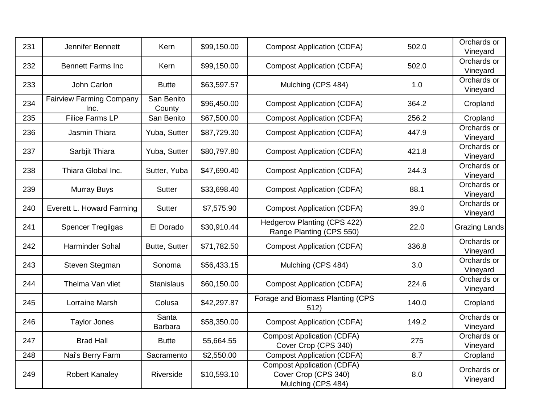| 231 | Jennifer Bennett                        | Kern                    | \$99,150.00 | <b>Compost Application (CDFA)</b>                                               | 502.0 | Orchards or<br>Vineyard |
|-----|-----------------------------------------|-------------------------|-------------|---------------------------------------------------------------------------------|-------|-------------------------|
| 232 | <b>Bennett Farms Inc</b>                | Kern                    | \$99,150.00 | <b>Compost Application (CDFA)</b>                                               | 502.0 | Orchards or<br>Vineyard |
| 233 | John Carlon                             | <b>Butte</b>            | \$63,597.57 | Mulching (CPS 484)                                                              | 1.0   | Orchards or<br>Vineyard |
| 234 | <b>Fairview Farming Company</b><br>Inc. | San Benito<br>County    | \$96,450.00 | <b>Compost Application (CDFA)</b>                                               | 364.2 | Cropland                |
| 235 | <b>Filice Farms LP</b>                  | San Benito              | \$67,500.00 | <b>Compost Application (CDFA)</b>                                               | 256.2 | Cropland                |
| 236 | Jasmin Thiara                           | Yuba, Sutter            | \$87,729.30 | <b>Compost Application (CDFA)</b>                                               | 447.9 | Orchards or<br>Vineyard |
| 237 | Sarbjit Thiara                          | Yuba, Sutter            | \$80,797.80 | <b>Compost Application (CDFA)</b>                                               | 421.8 | Orchards or<br>Vineyard |
| 238 | Thiara Global Inc.                      | Sutter, Yuba            | \$47,690.40 | <b>Compost Application (CDFA)</b>                                               | 244.3 | Orchards or<br>Vineyard |
| 239 | <b>Murray Buys</b>                      | <b>Sutter</b>           | \$33,698.40 | <b>Compost Application (CDFA)</b>                                               | 88.1  | Orchards or<br>Vineyard |
| 240 | Everett L. Howard Farming               | <b>Sutter</b>           | \$7,575.90  | <b>Compost Application (CDFA)</b>                                               | 39.0  | Orchards or<br>Vineyard |
| 241 | <b>Spencer Tregilgas</b>                | El Dorado               | \$30,910.44 | <b>Hedgerow Planting (CPS 422)</b><br>Range Planting (CPS 550)                  | 22.0  | <b>Grazing Lands</b>    |
| 242 | <b>Harminder Sohal</b>                  | Butte, Sutter           | \$71,782.50 | <b>Compost Application (CDFA)</b>                                               | 336.8 | Orchards or<br>Vineyard |
| 243 | Steven Stegman                          | Sonoma                  | \$56,433.15 | Mulching (CPS 484)                                                              | 3.0   | Orchards or<br>Vineyard |
| 244 | Thelma Van vliet                        | <b>Stanislaus</b>       | \$60,150.00 | <b>Compost Application (CDFA)</b>                                               | 224.6 | Orchards or<br>Vineyard |
| 245 | Lorraine Marsh                          | Colusa                  | \$42,297.87 | Forage and Biomass Planting (CPS<br>512)                                        | 140.0 | Cropland                |
| 246 | <b>Taylor Jones</b>                     | Santa<br><b>Barbara</b> | \$58,350.00 | <b>Compost Application (CDFA)</b>                                               | 149.2 | Orchards or<br>Vineyard |
| 247 | <b>Brad Hall</b>                        | <b>Butte</b>            | 55,664.55   | <b>Compost Application (CDFA)</b><br>Cover Crop (CPS 340)                       | 275   | Orchards or<br>Vineyard |
| 248 | Nai's Berry Farm                        | Sacramento              | \$2,550.00  | <b>Compost Application (CDFA)</b>                                               | 8.7   | Cropland                |
| 249 | <b>Robert Kanaley</b>                   | Riverside               | \$10,593.10 | <b>Compost Application (CDFA)</b><br>Cover Crop (CPS 340)<br>Mulching (CPS 484) | 8.0   | Orchards or<br>Vineyard |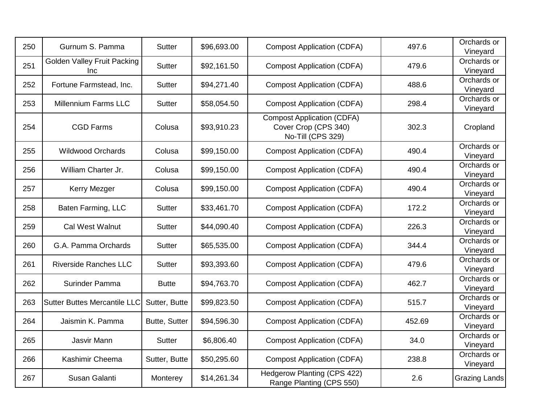| 250 | Gurnum S. Pamma                                  | <b>Sutter</b> | \$96,693.00 | <b>Compost Application (CDFA)</b>                                              | 497.6  | Orchards or<br>Vineyard |
|-----|--------------------------------------------------|---------------|-------------|--------------------------------------------------------------------------------|--------|-------------------------|
| 251 | <b>Golden Valley Fruit Packing</b><br><b>Inc</b> | Sutter        | \$92,161.50 | <b>Compost Application (CDFA)</b>                                              | 479.6  | Orchards or<br>Vineyard |
| 252 | Fortune Farmstead, Inc.                          | <b>Sutter</b> | \$94,271.40 | <b>Compost Application (CDFA)</b>                                              | 488.6  | Orchards or<br>Vineyard |
| 253 | <b>Millennium Farms LLC</b>                      | Sutter        | \$58,054.50 | <b>Compost Application (CDFA)</b>                                              | 298.4  | Orchards or<br>Vineyard |
| 254 | <b>CGD Farms</b>                                 | Colusa        | \$93,910.23 | <b>Compost Application (CDFA)</b><br>Cover Crop (CPS 340)<br>No-Till (CPS 329) | 302.3  | Cropland                |
| 255 | <b>Wildwood Orchards</b>                         | Colusa        | \$99,150.00 | <b>Compost Application (CDFA)</b>                                              | 490.4  | Orchards or<br>Vineyard |
| 256 | William Charter Jr.                              | Colusa        | \$99,150.00 | <b>Compost Application (CDFA)</b>                                              | 490.4  | Orchards or<br>Vineyard |
| 257 | Kerry Mezger                                     | Colusa        | \$99,150.00 | <b>Compost Application (CDFA)</b>                                              | 490.4  | Orchards or<br>Vineyard |
| 258 | Baten Farming, LLC                               | <b>Sutter</b> | \$33,461.70 | <b>Compost Application (CDFA)</b>                                              | 172.2  | Orchards or<br>Vineyard |
| 259 | <b>Cal West Walnut</b>                           | <b>Sutter</b> | \$44,090.40 | <b>Compost Application (CDFA)</b>                                              | 226.3  | Orchards or<br>Vineyard |
| 260 | G.A. Pamma Orchards                              | <b>Sutter</b> | \$65,535.00 | <b>Compost Application (CDFA)</b>                                              | 344.4  | Orchards or<br>Vineyard |
| 261 | <b>Riverside Ranches LLC</b>                     | <b>Sutter</b> | \$93,393.60 | <b>Compost Application (CDFA)</b>                                              | 479.6  | Orchards or<br>Vineyard |
| 262 | Surinder Pamma                                   | <b>Butte</b>  | \$94,763.70 | <b>Compost Application (CDFA)</b>                                              | 462.7  | Orchards or<br>Vineyard |
| 263 | <b>Sutter Buttes Mercantile LLC</b>              | Sutter, Butte | \$99,823.50 | <b>Compost Application (CDFA)</b>                                              | 515.7  | Orchards or<br>Vineyard |
| 264 | Jaismin K. Pamma                                 | Butte, Sutter | \$94,596.30 | <b>Compost Application (CDFA)</b>                                              | 452.69 | Orchards or<br>Vineyard |
| 265 | Jasvir Mann                                      | <b>Sutter</b> | \$6,806.40  | <b>Compost Application (CDFA)</b>                                              | 34.0   | Orchards or<br>Vineyard |
| 266 | Kashimir Cheema                                  | Sutter, Butte | \$50,295.60 | <b>Compost Application (CDFA)</b>                                              | 238.8  | Orchards or<br>Vineyard |
| 267 | Susan Galanti                                    | Monterey      | \$14,261.34 | <b>Hedgerow Planting (CPS 422)</b><br>Range Planting (CPS 550)                 | 2.6    | Grazing Lands           |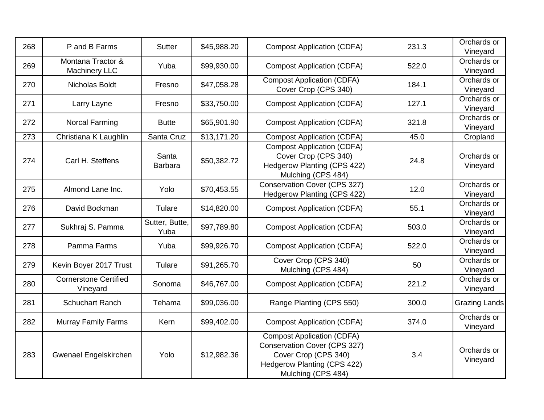| 268 | P and B Farms                             | Sutter                  | \$45,988.20 | <b>Compost Application (CDFA)</b>                                                                                                                     | 231.3 | Orchards or<br>Vineyard |
|-----|-------------------------------------------|-------------------------|-------------|-------------------------------------------------------------------------------------------------------------------------------------------------------|-------|-------------------------|
| 269 | Montana Tractor &<br><b>Machinery LLC</b> | Yuba                    | \$99,930.00 | <b>Compost Application (CDFA)</b>                                                                                                                     | 522.0 | Orchards or<br>Vineyard |
| 270 | Nicholas Boldt                            | Fresno                  | \$47,058.28 | <b>Compost Application (CDFA)</b><br>Cover Crop (CPS 340)                                                                                             | 184.1 | Orchards or<br>Vineyard |
| 271 | Larry Layne                               | Fresno                  | \$33,750.00 | <b>Compost Application (CDFA)</b>                                                                                                                     | 127.1 | Orchards or<br>Vineyard |
| 272 | Norcal Farming                            | <b>Butte</b>            | \$65,901.90 | <b>Compost Application (CDFA)</b>                                                                                                                     | 321.8 | Orchards or<br>Vineyard |
| 273 | Christiana K Laughlin                     | Santa Cruz              | \$13,171.20 | <b>Compost Application (CDFA)</b>                                                                                                                     | 45.0  | Cropland                |
| 274 | Carl H. Steffens                          | Santa<br><b>Barbara</b> | \$50,382.72 | <b>Compost Application (CDFA)</b><br>Cover Crop (CPS 340)<br><b>Hedgerow Planting (CPS 422)</b><br>Mulching (CPS 484)                                 | 24.8  | Orchards or<br>Vineyard |
| 275 | Almond Lane Inc.                          | Yolo                    | \$70,453.55 | Conservation Cover (CPS 327)<br><b>Hedgerow Planting (CPS 422)</b>                                                                                    | 12.0  | Orchards or<br>Vineyard |
| 276 | David Bockman                             | Tulare                  | \$14,820.00 | <b>Compost Application (CDFA)</b>                                                                                                                     | 55.1  | Orchards or<br>Vineyard |
| 277 | Sukhraj S. Pamma                          | Sutter, Butte,<br>Yuba  | \$97,789.80 | <b>Compost Application (CDFA)</b>                                                                                                                     | 503.0 | Orchards or<br>Vineyard |
| 278 | Pamma Farms                               | Yuba                    | \$99,926.70 | <b>Compost Application (CDFA)</b>                                                                                                                     | 522.0 | Orchards or<br>Vineyard |
| 279 | Kevin Boyer 2017 Trust                    | Tulare                  | \$91,265.70 | Cover Crop (CPS 340)<br>Mulching (CPS 484)                                                                                                            | 50    | Orchards or<br>Vineyard |
| 280 | <b>Cornerstone Certified</b><br>Vineyard  | Sonoma                  | \$46,767.00 | <b>Compost Application (CDFA)</b>                                                                                                                     | 221.2 | Orchards or<br>Vineyard |
| 281 | <b>Schuchart Ranch</b>                    | Tehama                  | \$99,036.00 | Range Planting (CPS 550)                                                                                                                              | 300.0 | Grazing Lands           |
| 282 | <b>Murray Family Farms</b>                | Kern                    | \$99,402.00 | <b>Compost Application (CDFA)</b>                                                                                                                     | 374.0 | Orchards or<br>Vineyard |
| 283 | Gwenael Engelskirchen                     | Yolo                    | \$12,982.36 | <b>Compost Application (CDFA)</b><br>Conservation Cover (CPS 327)<br>Cover Crop (CPS 340)<br><b>Hedgerow Planting (CPS 422)</b><br>Mulching (CPS 484) | 3.4   | Orchards or<br>Vineyard |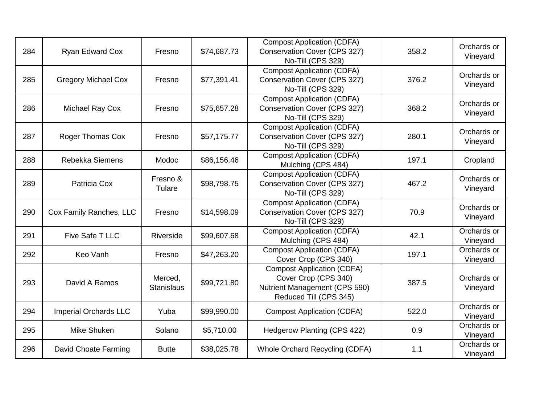| 284 | <b>Ryan Edward Cox</b>       | Fresno                       | \$74,687.73 | <b>Compost Application (CDFA)</b><br>Conservation Cover (CPS 327)<br>No-Till (CPS 329)                               | 358.2 | Orchards or<br>Vineyard |
|-----|------------------------------|------------------------------|-------------|----------------------------------------------------------------------------------------------------------------------|-------|-------------------------|
| 285 | <b>Gregory Michael Cox</b>   | Fresno                       | \$77,391.41 | <b>Compost Application (CDFA)</b><br><b>Conservation Cover (CPS 327)</b><br>No-Till (CPS 329)                        | 376.2 | Orchards or<br>Vineyard |
| 286 | Michael Ray Cox              | Fresno                       | \$75,657.28 | <b>Compost Application (CDFA)</b><br>Conservation Cover (CPS 327)<br>No-Till (CPS 329)                               | 368.2 | Orchards or<br>Vineyard |
| 287 | <b>Roger Thomas Cox</b>      | Fresno                       | \$57,175.77 | <b>Compost Application (CDFA)</b><br>Conservation Cover (CPS 327)<br>No-Till (CPS 329)                               | 280.1 | Orchards or<br>Vineyard |
| 288 | Rebekka Siemens              | Modoc                        | \$86,156.46 | <b>Compost Application (CDFA)</b><br>Mulching (CPS 484)                                                              | 197.1 | Cropland                |
| 289 | Patricia Cox                 | Fresno &<br>Tulare           | \$98,798.75 | <b>Compost Application (CDFA)</b><br>Conservation Cover (CPS 327)<br>No-Till (CPS 329)                               | 467.2 | Orchards or<br>Vineyard |
| 290 | Cox Family Ranches, LLC      | Fresno                       | \$14,598.09 | <b>Compost Application (CDFA)</b><br><b>Conservation Cover (CPS 327)</b><br>No-Till (CPS 329)                        | 70.9  | Orchards or<br>Vineyard |
| 291 | Five Safe T LLC              | Riverside                    | \$99,607.68 | <b>Compost Application (CDFA)</b><br>Mulching (CPS 484)                                                              | 42.1  | Orchards or<br>Vineyard |
| 292 | Keo Vanh                     | Fresno                       | \$47,263.20 | <b>Compost Application (CDFA)</b><br>Cover Crop (CPS 340)                                                            | 197.1 | Orchards or<br>Vineyard |
| 293 | David A Ramos                | Merced,<br><b>Stanislaus</b> | \$99,721.80 | <b>Compost Application (CDFA)</b><br>Cover Crop (CPS 340)<br>Nutrient Management (CPS 590)<br>Reduced Till (CPS 345) | 387.5 | Orchards or<br>Vineyard |
| 294 | <b>Imperial Orchards LLC</b> | Yuba                         | \$99,990.00 | <b>Compost Application (CDFA)</b>                                                                                    | 522.0 | Orchards or<br>Vineyard |
| 295 | Mike Shuken                  | Solano                       | \$5,710.00  | Hedgerow Planting (CPS 422)                                                                                          | 0.9   | Orchards or<br>Vineyard |
| 296 | David Choate Farming         | <b>Butte</b>                 | \$38,025.78 | Whole Orchard Recycling (CDFA)                                                                                       | 1.1   | Orchards or<br>Vineyard |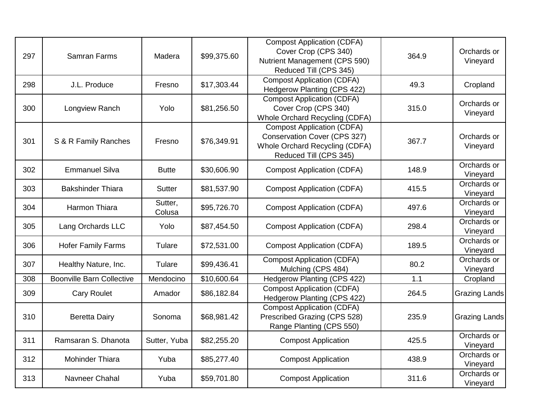| 297 | <b>Samran Farms</b>              | Madera            | \$99,375.60             | <b>Compost Application (CDFA)</b><br>Cover Crop (CPS 340)<br>Nutrient Management (CPS 590)<br>Reduced Till (CPS 345)          | 364.9 | Orchards or<br>Vineyard |
|-----|----------------------------------|-------------------|-------------------------|-------------------------------------------------------------------------------------------------------------------------------|-------|-------------------------|
| 298 | J.L. Produce                     | Fresno            | \$17,303.44             | <b>Compost Application (CDFA)</b><br>Hedgerow Planting (CPS 422)                                                              | 49.3  | Cropland                |
| 300 | Longview Ranch                   | Yolo              | \$81,256.50             | <b>Compost Application (CDFA)</b><br>Cover Crop (CPS 340)<br>Whole Orchard Recycling (CDFA)                                   | 315.0 | Orchards or<br>Vineyard |
| 301 | S & R Family Ranches             | Fresno            | \$76,349.91             | <b>Compost Application (CDFA)</b><br>Conservation Cover (CPS 327)<br>Whole Orchard Recycling (CDFA)<br>Reduced Till (CPS 345) | 367.7 | Orchards or<br>Vineyard |
| 302 | <b>Emmanuel Silva</b>            | <b>Butte</b>      | \$30,606.90             | <b>Compost Application (CDFA)</b>                                                                                             | 148.9 | Orchards or<br>Vineyard |
| 303 | <b>Bakshinder Thiara</b>         | <b>Sutter</b>     | \$81,537.90             | <b>Compost Application (CDFA)</b>                                                                                             | 415.5 | Orchards or<br>Vineyard |
| 304 | Harmon Thiara                    | Sutter,<br>Colusa | \$95,726.70             | <b>Compost Application (CDFA)</b>                                                                                             | 497.6 | Orchards or<br>Vineyard |
| 305 | Lang Orchards LLC                | Yolo              | \$87,454.50             | <b>Compost Application (CDFA)</b>                                                                                             | 298.4 | Orchards or<br>Vineyard |
| 306 | <b>Hofer Family Farms</b>        | Tulare            | \$72,531.00             | <b>Compost Application (CDFA)</b>                                                                                             | 189.5 | Orchards or<br>Vineyard |
| 307 | Healthy Nature, Inc.             | Tulare            | \$99,436.41             | <b>Compost Application (CDFA)</b><br>Mulching (CPS 484)                                                                       | 80.2  | Orchards or<br>Vineyard |
| 308 | <b>Boonville Barn Collective</b> | Mendocino         | $\overline{$}10,600.64$ | Hedgerow Planting (CPS 422)                                                                                                   | 1.1   | Cropland                |
| 309 | <b>Cary Roulet</b>               | Amador            | \$86,182.84             | <b>Compost Application (CDFA)</b><br>Hedgerow Planting (CPS 422)                                                              | 264.5 | Grazing Lands           |
| 310 | <b>Beretta Dairy</b>             | Sonoma            | \$68,981.42             | <b>Compost Application (CDFA)</b><br>Prescribed Grazing (CPS 528)<br>Range Planting (CPS 550)                                 | 235.9 | Grazing Lands           |
| 311 | Ramsaran S. Dhanota              | Sutter, Yuba      | \$82,255.20             | <b>Compost Application</b>                                                                                                    | 425.5 | Orchards or<br>Vineyard |
| 312 | Mohinder Thiara                  | Yuba              | \$85,277.40             | <b>Compost Application</b>                                                                                                    | 438.9 | Orchards or<br>Vineyard |
| 313 | Navneer Chahal                   | Yuba              | \$59,701.80             | <b>Compost Application</b>                                                                                                    | 311.6 | Orchards or<br>Vineyard |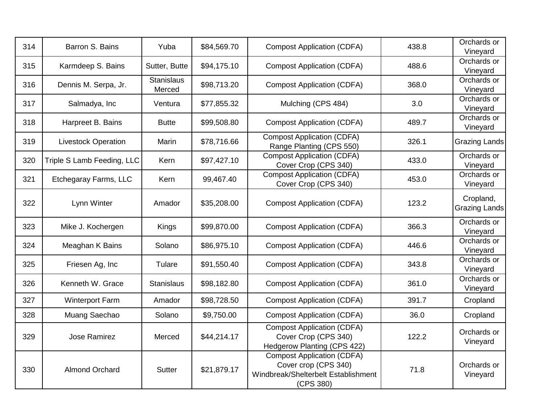| 314 | Barron S. Bains            | Yuba                        | \$84,569.70 | <b>Compost Application (CDFA)</b>                                                                             | 438.8 | Orchards or<br>Vineyard           |
|-----|----------------------------|-----------------------------|-------------|---------------------------------------------------------------------------------------------------------------|-------|-----------------------------------|
| 315 | Karmdeep S. Bains          | Sutter, Butte               | \$94,175.10 | <b>Compost Application (CDFA)</b>                                                                             | 488.6 | Orchards or<br>Vineyard           |
| 316 | Dennis M. Serpa, Jr.       | <b>Stanislaus</b><br>Merced | \$98,713.20 | <b>Compost Application (CDFA)</b>                                                                             | 368.0 | Orchards or<br>Vineyard           |
| 317 | Salmadya, Inc              | Ventura                     | \$77,855.32 | Mulching (CPS 484)                                                                                            | 3.0   | Orchards or<br>Vineyard           |
| 318 | Harpreet B. Bains          | <b>Butte</b>                | \$99,508.80 | <b>Compost Application (CDFA)</b>                                                                             | 489.7 | Orchards or<br>Vineyard           |
| 319 | <b>Livestock Operation</b> | Marin                       | \$78,716.66 | <b>Compost Application (CDFA)</b><br>Range Planting (CPS 550)                                                 | 326.1 | <b>Grazing Lands</b>              |
| 320 | Triple S Lamb Feeding, LLC | Kern                        | \$97,427.10 | <b>Compost Application (CDFA)</b><br>Cover Crop (CPS 340)                                                     | 433.0 | Orchards or<br>Vineyard           |
| 321 | Etchegaray Farms, LLC      | Kern                        | 99,467.40   | <b>Compost Application (CDFA)</b><br>Cover Crop (CPS 340)                                                     | 453.0 | Orchards or<br>Vineyard           |
| 322 | Lynn Winter                | Amador                      | \$35,208.00 | <b>Compost Application (CDFA)</b>                                                                             | 123.2 | Cropland,<br><b>Grazing Lands</b> |
| 323 | Mike J. Kochergen          | Kings                       | \$99,870.00 | <b>Compost Application (CDFA)</b>                                                                             | 366.3 | Orchards or<br>Vineyard           |
| 324 | Meaghan K Bains            | Solano                      | \$86,975.10 | <b>Compost Application (CDFA)</b>                                                                             | 446.6 | Orchards or<br>Vineyard           |
| 325 | Friesen Ag, Inc            | Tulare                      | \$91,550.40 | <b>Compost Application (CDFA)</b>                                                                             | 343.8 | Orchards or<br>Vineyard           |
| 326 | Kenneth W. Grace           | <b>Stanislaus</b>           | \$98,182.80 | <b>Compost Application (CDFA)</b>                                                                             | 361.0 | Orchards or<br>Vineyard           |
| 327 | <b>Winterport Farm</b>     | Amador                      | \$98,728.50 | <b>Compost Application (CDFA)</b>                                                                             | 391.7 | Cropland                          |
| 328 | Muang Saechao              | Solano                      | \$9,750.00  | <b>Compost Application (CDFA)</b>                                                                             | 36.0  | Cropland                          |
| 329 | <b>Jose Ramirez</b>        | Merced                      | \$44,214.17 | <b>Compost Application (CDFA)</b><br>Cover Crop (CPS 340)<br>Hedgerow Planting (CPS 422)                      | 122.2 | Orchards or<br>Vineyard           |
| 330 | <b>Almond Orchard</b>      | <b>Sutter</b>               | \$21,879.17 | <b>Compost Application (CDFA)</b><br>Cover crop (CPS 340)<br>Windbreak/Shelterbelt Establishment<br>(CPS 380) | 71.8  | Orchards or<br>Vineyard           |